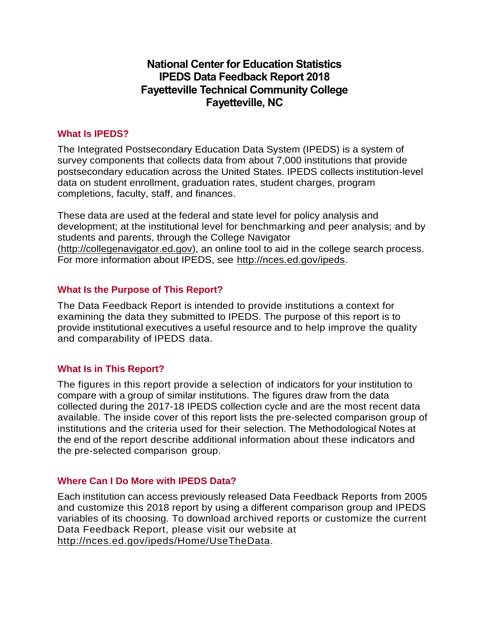# **National Center for Education Statistics IPEDS Data Feedback Report 2018 Fayetteville Technical Community College Fayetteville, NC**

## **What Is IPEDS?**

The Integrated Postsecondary Education Data System (IPEDS) is a system of survey components that collects data from about 7,000 institutions that provide postsecondary education across the United States. IPEDS collects institution-level data on student enrollment, graduation rates, student charges, program completions, faculty, staff, and finances.

These data are used at the federal and state level for policy analysis and development; at the institutional level for benchmarking and peer analysis; and by students and parents, through the College Navigator [\(http://collegenavigator.ed.gov\)](http://collegenavigator.ed.gov/), an online tool to aid in the college search process. For more information about IPEDS, see [http://nces.ed.gov/ipeds.](http://nces.ed.gov/ipeds)

## **What Is the Purpose of This Report?**

The Data Feedback Report is intended to provide institutions a context for examining the data they submitted to IPEDS. The purpose of this report is to provide institutional executives a useful resource and to help improve the quality and comparability of IPEDS data.

## **What Is in This Report?**

The figures in this report provide a selection of indicators for your institution to compare with a group of similar institutions. The figures draw from the data collected during the 2017-18 IPEDS collection cycle and are the most recent data available. The inside cover of this report lists the pre-selected comparison group of institutions and the criteria used for their selection. The Methodological Notes at the end of the report describe additional information about these indicators and the pre-selected comparison group.

## **Where Can I Do More with IPEDS Data?**

Each institution can access previously released Data Feedback Reports from 2005 and customize this 2018 report by using a different comparison group and IPEDS variables of its choosing. To download archived reports or customize the current Data Feedback Report, please visit our website at [http://nces.ed.gov/ipeds/Home/UseTheData.](http://nces.ed.gov/ipeds/Home/UseTheData)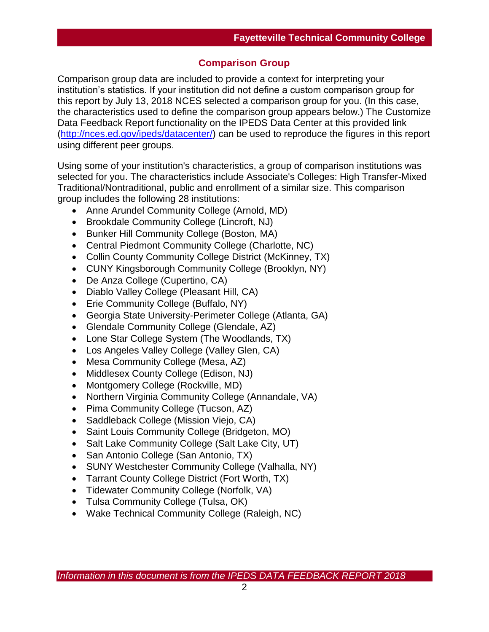## **Comparison Group**

Comparison group data are included to provide a context for interpreting your institution's statistics. If your institution did not define a custom comparison group for this report by July 13, 2018 NCES selected a comparison group for you. (In this case, the characteristics used to define the comparison group appears below.) The Customize Data Feedback Report functionality on the IPEDS Data Center at this provided link [\(http://nces.ed.gov/ipeds/datacenter/\)](http://nces.ed.gov/ipeds/datacenter/) can be used to reproduce the figures in this report using different peer groups.

Using some of your institution's characteristics, a group of comparison institutions was selected for you. The characteristics include Associate's Colleges: High Transfer-Mixed Traditional/Nontraditional, public and enrollment of a similar size. This comparison group includes the following 28 institutions:

- Anne Arundel Community College (Arnold, MD)
- Brookdale Community College (Lincroft, NJ)
- Bunker Hill Community College (Boston, MA)
- Central Piedmont Community College (Charlotte, NC)
- Collin County Community College District (McKinney, TX)
- CUNY Kingsborough Community College (Brooklyn, NY)
- De Anza College (Cupertino, CA)
- Diablo Valley College (Pleasant Hill, CA)
- Erie Community College (Buffalo, NY)
- Georgia State University-Perimeter College (Atlanta, GA)
- Glendale Community College (Glendale, AZ)
- Lone Star College System (The Woodlands, TX)
- Los Angeles Valley College (Valley Glen, CA)
- Mesa Community College (Mesa, AZ)
- Middlesex County College (Edison, NJ)
- Montgomery College (Rockville, MD)
- Northern Virginia Community College (Annandale, VA)
- Pima Community College (Tucson, AZ)
- Saddleback College (Mission Viejo, CA)
- Saint Louis Community College (Bridgeton, MO)
- Salt Lake Community College (Salt Lake City, UT)
- San Antonio College (San Antonio, TX)
- SUNY Westchester Community College (Valhalla, NY)
- Tarrant County College District (Fort Worth, TX)
- Tidewater Community College (Norfolk, VA)
- Tulsa Community College (Tulsa, OK)
- Wake Technical Community College (Raleigh, NC)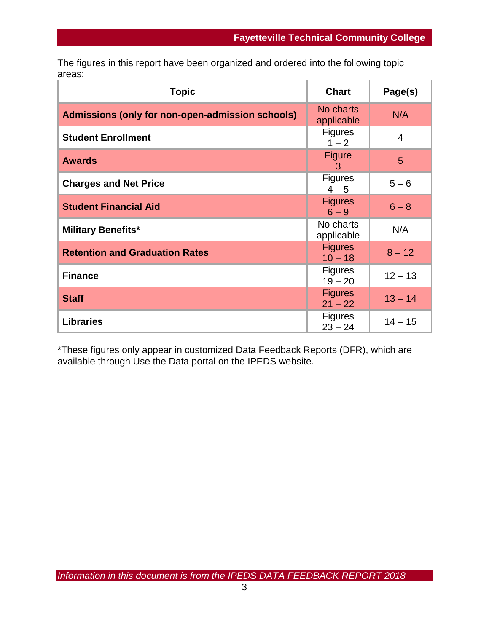The figures in this report have been organized and ordered into the following topic areas:

| <b>Topic</b>                                     | <b>Chart</b>                | Page(s)   |
|--------------------------------------------------|-----------------------------|-----------|
| Admissions (only for non-open-admission schools) | No charts<br>applicable     | N/A       |
| <b>Student Enrollment</b>                        | <b>Figures</b><br>$1 - 2$   | 4         |
| <b>Awards</b>                                    | <b>Figure</b><br>3          | 5         |
| <b>Charges and Net Price</b>                     | <b>Figures</b><br>$4 - 5$   | $5 - 6$   |
| <b>Student Financial Aid</b>                     | <b>Figures</b><br>$6 - 9$   | $6 - 8$   |
| <b>Military Benefits*</b>                        | No charts<br>applicable     | N/A       |
| <b>Retention and Graduation Rates</b>            | <b>Figures</b><br>$10 - 18$ | $8 - 12$  |
| <b>Finance</b>                                   | <b>Figures</b><br>$19 - 20$ | $12 - 13$ |
| <b>Staff</b>                                     | <b>Figures</b><br>$21 - 22$ | $13 - 14$ |
| <b>Libraries</b>                                 | <b>Figures</b><br>$23 - 24$ | $14 - 15$ |

\*These figures only appear in customized Data Feedback Reports (DFR), which are available through Use the Data portal on the IPEDS website.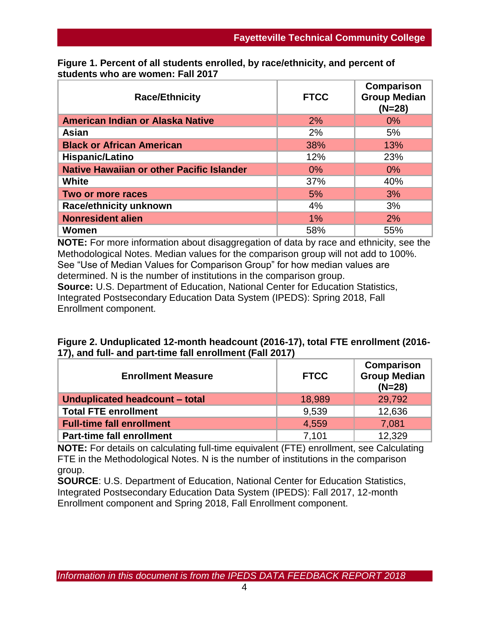| <b>Race/Ethnicity</b>                            | <b>FTCC</b> | Comparison<br><b>Group Median</b><br>$(N=28)$ |
|--------------------------------------------------|-------------|-----------------------------------------------|
| American Indian or Alaska Native                 | 2%          | $0\%$                                         |
| Asian                                            | 2%          | 5%                                            |
| <b>Black or African American</b>                 | 38%         | 13%                                           |
| Hispanic/Latino                                  | 12%         | 23%                                           |
| <b>Native Hawaiian or other Pacific Islander</b> | 0%          | $0\%$                                         |
| <b>White</b>                                     | 37%         | 40%                                           |
| Two or more races                                | 5%          | 3%                                            |
| <b>Race/ethnicity unknown</b>                    | 4%          | 3%                                            |
| <b>Nonresident alien</b>                         | $1\%$       | 2%                                            |
| Women                                            | 58%         | 55%                                           |

**Figure 1. Percent of all students enrolled, by race/ethnicity, and percent of students who are women: Fall 2017**

**NOTE:** For more information about disaggregation of data by race and ethnicity, see the Methodological Notes. Median values for the comparison group will not add to 100%. See "Use of Median Values for Comparison Group" for how median values are determined. N is the number of institutions in the comparison group. **Source:** U.S. Department of Education, National Center for Education Statistics, Integrated Postsecondary Education Data System (IPEDS): Spring 2018, Fall Enrollment component.

| Figure 2. Unduplicated 12-month headcount (2016-17), total FTE enrollment (2016- |  |
|----------------------------------------------------------------------------------|--|
| 17), and full- and part-time fall enrollment (Fall 2017)                         |  |

| <b>Enrollment Measure</b>        | <b>FTCC</b> | Comparison<br><b>Group Median</b><br>$(N=28)$ |
|----------------------------------|-------------|-----------------------------------------------|
| Unduplicated headcount - total   | 18,989      | 29,792                                        |
| <b>Total FTE enrollment</b>      | 9.539       | 12,636                                        |
| <b>Full-time fall enrollment</b> | 4,559       | 7,081                                         |
| <b>Part-time fall enrollment</b> | 7.101       | 12,329                                        |

**NOTE:** For details on calculating full-time equivalent (FTE) enrollment, see Calculating FTE in the Methodological Notes. N is the number of institutions in the comparison group.

**SOURCE**: U.S. Department of Education, National Center for Education Statistics, Integrated Postsecondary Education Data System (IPEDS): Fall 2017, 12-month Enrollment component and Spring 2018, Fall Enrollment component.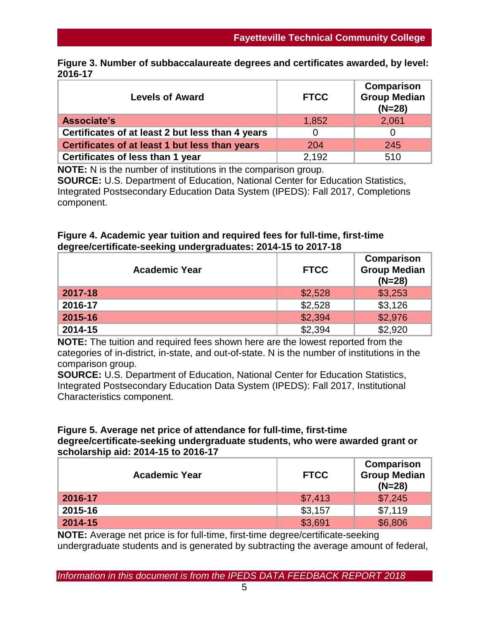|         | Figure 3. Number of subbaccalaureate degrees and certificates awarded, by level: |  |  |
|---------|----------------------------------------------------------------------------------|--|--|
| 2016-17 |                                                                                  |  |  |

| <b>Levels of Award</b>                           | <b>FTCC</b> | <b>Comparison</b><br><b>Group Median</b><br>$(N=28)$ |
|--------------------------------------------------|-------------|------------------------------------------------------|
| Associate's                                      | 1,852       | 2,061                                                |
| Certificates of at least 2 but less than 4 years |             |                                                      |
| Certificates of at least 1 but less than years   | 204         | 245                                                  |
| Certificates of less than 1 year                 | 2,192       | 510                                                  |

**NOTE:** N is the number of institutions in the comparison group. **SOURCE:** U.S. Department of Education, National Center for Education Statistics, Integrated Postsecondary Education Data System (IPEDS): Fall 2017, Completions component.

## **Figure 4. Academic year tuition and required fees for full-time, first-time degree/certificate-seeking undergraduates: 2014-15 to 2017-18**

| <b>Academic Year</b> | <b>FTCC</b> | Comparison<br><b>Group Median</b><br>$(N=28)$ |
|----------------------|-------------|-----------------------------------------------|
| 2017-18              | \$2,528     | \$3,253                                       |
| 2016-17              | \$2,528     | \$3,126                                       |
| 2015-16              | \$2,394     | \$2,976                                       |
| 2014-15              | \$2,394     | \$2,920                                       |

**NOTE:** The tuition and required fees shown here are the lowest reported from the categories of in-district, in-state, and out-of-state. N is the number of institutions in the comparison group.

**SOURCE:** U.S. Department of Education, National Center for Education Statistics, Integrated Postsecondary Education Data System (IPEDS): Fall 2017, Institutional Characteristics component.

#### **Figure 5. Average net price of attendance for full-time, first-time degree/certificate-seeking undergraduate students, who were awarded grant or scholarship aid: 2014-15 to 2016-17**

| <b>Academic Year</b> | <b>FTCC</b> | Comparison<br><b>Group Median</b><br>$(N=28)$ |  |
|----------------------|-------------|-----------------------------------------------|--|
| 2016-17              | \$7,413     | \$7,245                                       |  |
| 2015-16              | \$3,157     | \$7,119                                       |  |
| 2014-15              | \$3,691     | \$6,806                                       |  |

**NOTE:** Average net price is for full-time, first-time degree/certificate-seeking undergraduate students and is generated by subtracting the average amount of federal,

*Information in this document is from the IPEDS DATA FEEDBACK REPORT 2018*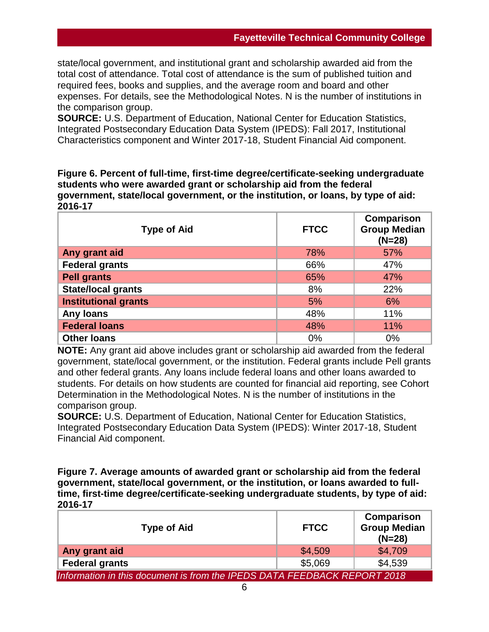state/local government, and institutional grant and scholarship awarded aid from the total cost of attendance. Total cost of attendance is the sum of published tuition and required fees, books and supplies, and the average room and board and other expenses. For details, see the Methodological Notes. N is the number of institutions in the comparison group.

**SOURCE:** U.S. Department of Education, National Center for Education Statistics, Integrated Postsecondary Education Data System (IPEDS): Fall 2017, Institutional Characteristics component and Winter 2017-18, Student Financial Aid component.

**Figure 6. Percent of full-time, first-time degree/certificate-seeking undergraduate students who were awarded grant or scholarship aid from the federal government, state/local government, or the institution, or loans, by type of aid: 2016-17**

| <b>Type of Aid</b>          | <b>FTCC</b> | Comparison<br><b>Group Median</b><br>$(N=28)$ |
|-----------------------------|-------------|-----------------------------------------------|
| Any grant aid               | 78%         | 57%                                           |
| <b>Federal grants</b>       | 66%         | 47%                                           |
| <b>Pell grants</b>          | 65%         | 47%                                           |
| <b>State/local grants</b>   | 8%          | 22%                                           |
| <b>Institutional grants</b> | 5%          | 6%                                            |
| <b>Any loans</b>            | 48%         | 11%                                           |
| <b>Federal loans</b>        | 48%         | 11%                                           |
| <b>Other loans</b>          | 0%          | 0%                                            |

**NOTE:** Any grant aid above includes grant or scholarship aid awarded from the federal government, state/local government, or the institution. Federal grants include Pell grants and other federal grants. Any loans include federal loans and other loans awarded to students. For details on how students are counted for financial aid reporting, see Cohort Determination in the Methodological Notes. N is the number of institutions in the comparison group.

**SOURCE:** U.S. Department of Education, National Center for Education Statistics, Integrated Postsecondary Education Data System (IPEDS): Winter 2017-18, Student Financial Aid component.

**Figure 7. Average amounts of awarded grant or scholarship aid from the federal government, state/local government, or the institution, or loans awarded to fulltime, first-time degree/certificate-seeking undergraduate students, by type of aid: 2016-17**

| <b>Type of Aid</b>                                                       | <b>FTCC</b> |         |  |
|--------------------------------------------------------------------------|-------------|---------|--|
| Any grant aid                                                            | \$4,509     | \$4,709 |  |
| <b>Federal grants</b>                                                    | \$5,069     | \$4,539 |  |
| Information in this document is from the IPEDS DATA FEEDBACK REPORT 2018 |             |         |  |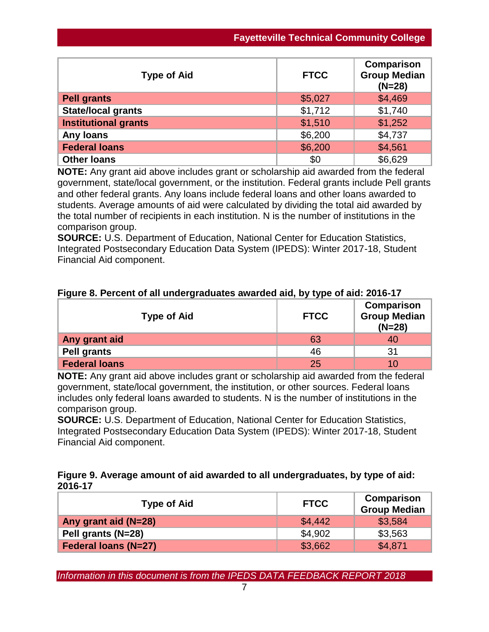| <b>Type of Aid</b>          | <b>FTCC</b> | <b>Comparison</b><br><b>Group Median</b><br>$(N=28)$ |
|-----------------------------|-------------|------------------------------------------------------|
| <b>Pell grants</b>          | \$5,027     | \$4,469                                              |
| <b>State/local grants</b>   | \$1,712     | \$1,740                                              |
| <b>Institutional grants</b> | \$1,510     | \$1,252                                              |
| <b>Any loans</b>            | \$6,200     | \$4,737                                              |
| <b>Federal loans</b>        | \$6,200     | \$4,561                                              |
| <b>Other loans</b>          | \$0         | \$6,629                                              |

**NOTE:** Any grant aid above includes grant or scholarship aid awarded from the federal government, state/local government, or the institution. Federal grants include Pell grants and other federal grants. Any loans include federal loans and other loans awarded to students. Average amounts of aid were calculated by dividing the total aid awarded by the total number of recipients in each institution. N is the number of institutions in the comparison group.

**SOURCE:** U.S. Department of Education, National Center for Education Statistics, Integrated Postsecondary Education Data System (IPEDS): Winter 2017-18, Student Financial Aid component.

|  | Figure 8. Percent of all undergraduates awarded aid, by type of aid: 2016-17 |  |  |
|--|------------------------------------------------------------------------------|--|--|
|  |                                                                              |  |  |

| <b>Type of Aid</b>   | <b>FTCC</b> | Comparison<br><b>Group Median</b><br>$(N=28)$ |
|----------------------|-------------|-----------------------------------------------|
| Any grant aid        | 63          | 40                                            |
| <b>Pell grants</b>   | 46          | 31                                            |
| <b>Federal loans</b> | 25          | 10                                            |

**NOTE:** Any grant aid above includes grant or scholarship aid awarded from the federal government, state/local government, the institution, or other sources. Federal loans includes only federal loans awarded to students. N is the number of institutions in the comparison group.

**SOURCE:** U.S. Department of Education, National Center for Education Statistics, Integrated Postsecondary Education Data System (IPEDS): Winter 2017-18, Student Financial Aid component.

## **Figure 9. Average amount of aid awarded to all undergraduates, by type of aid: 2016-17**

| <b>Type of Aid</b>          | <b>FTCC</b> | Comparison<br><b>Group Median</b> |
|-----------------------------|-------------|-----------------------------------|
| Any grant aid (N=28)        | \$4,442     | \$3,584                           |
| Pell grants (N=28)          | \$4,902     | \$3,563                           |
| <b>Federal loans (N=27)</b> | \$3,662     | \$4,871                           |

*Information in this document is from the IPEDS DATA FEEDBACK REPORT 2018*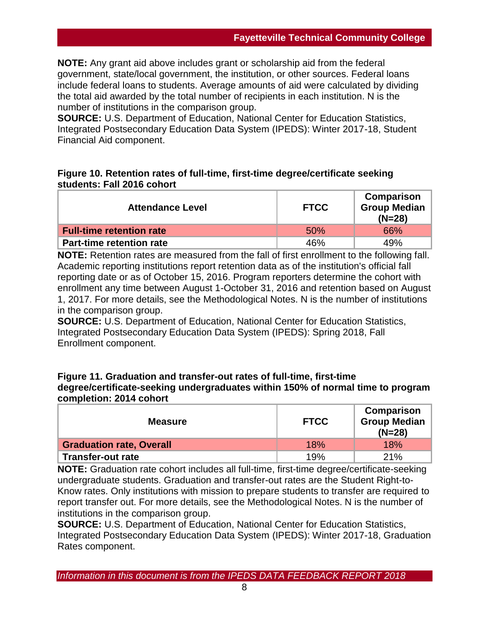**NOTE:** Any grant aid above includes grant or scholarship aid from the federal government, state/local government, the institution, or other sources. Federal loans include federal loans to students. Average amounts of aid were calculated by dividing the total aid awarded by the total number of recipients in each institution. N is the number of institutions in the comparison group.

**SOURCE:** U.S. Department of Education, National Center for Education Statistics, Integrated Postsecondary Education Data System (IPEDS): Winter 2017-18, Student Financial Aid component.

## **Figure 10. Retention rates of full-time, first-time degree/certificate seeking students: Fall 2016 cohort**

| <b>Attendance Level</b>         | <b>FTCC</b> | Comparison<br><b>Group Median</b><br>$(N=28)$ |
|---------------------------------|-------------|-----------------------------------------------|
| <b>Full-time retention rate</b> | 50%         | 66%                                           |
| <b>Part-time retention rate</b> | 46%         | 49%                                           |

**NOTE:** Retention rates are measured from the fall of first enrollment to the following fall. Academic reporting institutions report retention data as of the institution's official fall reporting date or as of October 15, 2016. Program reporters determine the cohort with enrollment any time between August 1-October 31, 2016 and retention based on August 1, 2017. For more details, see the Methodological Notes. N is the number of institutions in the comparison group.

**SOURCE:** U.S. Department of Education, National Center for Education Statistics, Integrated Postsecondary Education Data System (IPEDS): Spring 2018, Fall Enrollment component.

#### **Figure 11. Graduation and transfer-out rates of full-time, first-time degree/certificate-seeking undergraduates within 150% of normal time to program completion: 2014 cohort**

| <b>Measure</b>                  | <b>FTCC</b> | Comparison<br><b>Group Median</b><br>$(N=28)$ |
|---------------------------------|-------------|-----------------------------------------------|
| <b>Graduation rate, Overall</b> | 18%         | 18%                                           |
| <b>Transfer-out rate</b>        | 19%         | 21%                                           |

**NOTE:** Graduation rate cohort includes all full-time, first-time degree/certificate-seeking undergraduate students. Graduation and transfer-out rates are the Student Right-to-Know rates. Only institutions with mission to prepare students to transfer are required to report transfer out. For more details, see the Methodological Notes. N is the number of institutions in the comparison group.

**SOURCE:** U.S. Department of Education, National Center for Education Statistics, Integrated Postsecondary Education Data System (IPEDS): Winter 2017-18, Graduation Rates component.

*Information in this document is from the IPEDS DATA FEEDBACK REPORT 2018*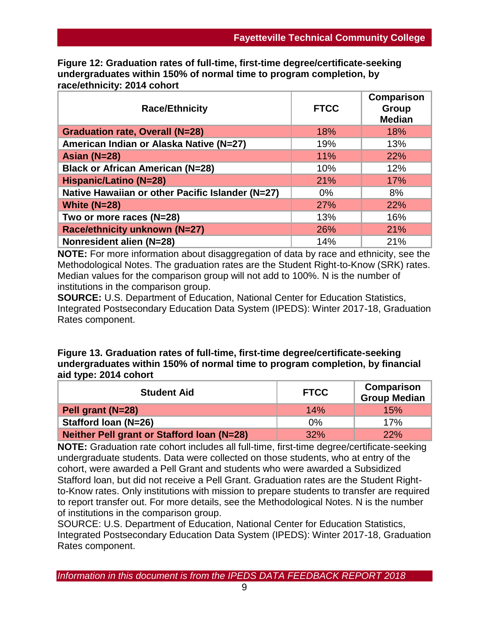**Figure 12: Graduation rates of full-time, first-time degree/certificate-seeking undergraduates within 150% of normal time to program completion, by race/ethnicity: 2014 cohort**

| <b>Race/Ethnicity</b>                            | <b>FTCC</b> | Comparison<br>Group<br><b>Median</b> |
|--------------------------------------------------|-------------|--------------------------------------|
| <b>Graduation rate, Overall (N=28)</b>           | 18%         | 18%                                  |
| American Indian or Alaska Native (N=27)          | 19%         | 13%                                  |
| Asian (N=28)                                     | 11%         | 22%                                  |
| <b>Black or African American (N=28)</b>          | 10%         | 12%                                  |
| <b>Hispanic/Latino (N=28)</b>                    | 21%         | 17%                                  |
| Native Hawaiian or other Pacific Islander (N=27) | $0\%$       | 8%                                   |
| White $(N=28)$                                   | 27%         | 22%                                  |
| Two or more races (N=28)                         | 13%         | 16%                                  |
| Race/ethnicity unknown (N=27)                    | 26%         | 21%                                  |
| Nonresident alien (N=28)                         | 14%         | 21%                                  |

**NOTE:** For more information about disaggregation of data by race and ethnicity, see the Methodological Notes. The graduation rates are the Student Right-to-Know (SRK) rates. Median values for the comparison group will not add to 100%. N is the number of institutions in the comparison group.

**SOURCE:** U.S. Department of Education, National Center for Education Statistics, Integrated Postsecondary Education Data System (IPEDS): Winter 2017-18, Graduation Rates component.

## **Figure 13. Graduation rates of full-time, first-time degree/certificate-seeking undergraduates within 150% of normal time to program completion, by financial aid type: 2014 cohort**

| <b>Student Aid</b>                         | <b>FTCC</b> | <b>Comparison</b><br><b>Group Median</b> |
|--------------------------------------------|-------------|------------------------------------------|
| Pell grant (N=28)                          | 14%         | 15%                                      |
| Stafford Ioan (N=26)                       | $0\%$       | 17%                                      |
| Neither Pell grant or Stafford Ioan (N=28) | 32%         | 22%                                      |

**NOTE:** Graduation rate cohort includes all full-time, first-time degree/certificate-seeking undergraduate students. Data were collected on those students, who at entry of the cohort, were awarded a Pell Grant and students who were awarded a Subsidized Stafford loan, but did not receive a Pell Grant. Graduation rates are the Student Rightto-Know rates. Only institutions with mission to prepare students to transfer are required to report transfer out. For more details, see the Methodological Notes. N is the number of institutions in the comparison group.

SOURCE: U.S. Department of Education, National Center for Education Statistics, Integrated Postsecondary Education Data System (IPEDS): Winter 2017-18, Graduation Rates component.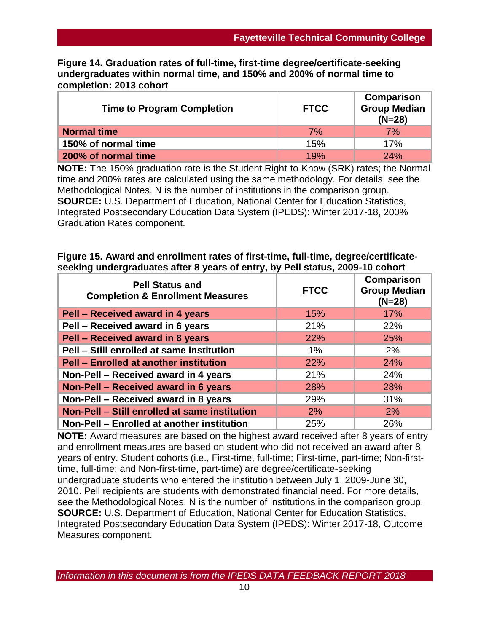**Figure 14. Graduation rates of full-time, first-time degree/certificate-seeking undergraduates within normal time, and 150% and 200% of normal time to completion: 2013 cohort**

| <b>Time to Program Completion</b> | <b>FTCC</b> | Comparison<br><b>Group Median</b><br>$(N=28)$ |
|-----------------------------------|-------------|-----------------------------------------------|
| <b>Normal time</b>                | 7%          | 7%                                            |
| 150% of normal time               | 15%         | 17%                                           |
| 200% of normal time               | 19%         | 24%                                           |

**NOTE:** The 150% graduation rate is the Student Right-to-Know (SRK) rates; the Normal time and 200% rates are calculated using the same methodology. For details, see the Methodological Notes. N is the number of institutions in the comparison group. **SOURCE:** U.S. Department of Education, National Center for Education Statistics, Integrated Postsecondary Education Data System (IPEDS): Winter 2017-18, 200% Graduation Rates component.

#### **Figure 15. Award and enrollment rates of first-time, full-time, degree/certificateseeking undergraduates after 8 years of entry, by Pell status, 2009-10 cohort**

| <b>Pell Status and</b><br><b>Completion &amp; Enrollment Measures</b> | <b>FTCC</b> | Comparison<br><b>Group Median</b><br>$(N=28)$ |
|-----------------------------------------------------------------------|-------------|-----------------------------------------------|
| Pell - Received award in 4 years                                      | 15%         | 17%                                           |
| Pell - Received award in 6 years                                      | 21%         | 22%                                           |
| Pell - Received award in 8 years                                      | 22%         | 25%                                           |
| Pell - Still enrolled at same institution                             | $1\%$       | 2%                                            |
| <b>Pell - Enrolled at another institution</b>                         | 22%         | 24%                                           |
| Non-Pell - Received award in 4 years                                  | 21%         | 24%                                           |
| Non-Pell - Received award in 6 years                                  | 28%         | 28%                                           |
| Non-Pell - Received award in 8 years                                  | 29%         | 31%                                           |
| Non-Pell - Still enrolled at same institution                         | 2%          | 2%                                            |
| Non-Pell - Enrolled at another institution                            | 25%         | 26%                                           |

**NOTE:** Award measures are based on the highest award received after 8 years of entry and enrollment measures are based on student who did not received an award after 8 years of entry. Student cohorts (i.e., First-time, full-time; First-time, part-time; Non-firsttime, full-time; and Non-first-time, part-time) are degree/certificate-seeking undergraduate students who entered the institution between July 1, 2009-June 30, 2010. Pell recipients are students with demonstrated financial need. For more details, see the Methodological Notes. N is the number of institutions in the comparison group. **SOURCE:** U.S. Department of Education, National Center for Education Statistics, Integrated Postsecondary Education Data System (IPEDS): Winter 2017-18, Outcome Measures component.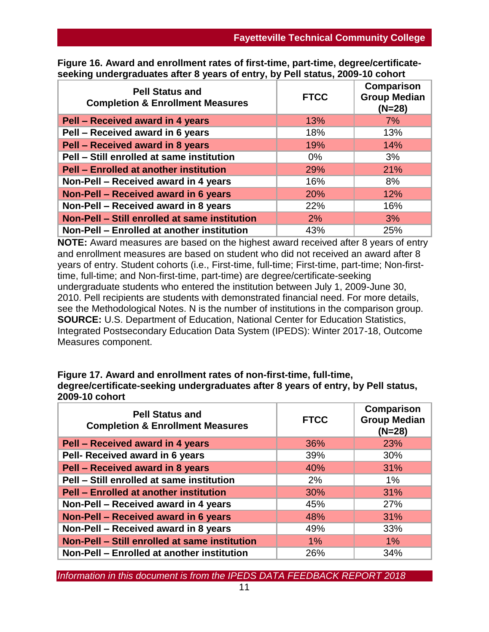| <b>Pell Status and</b><br><b>Completion &amp; Enrollment Measures</b> | <b>FTCC</b> | Comparison<br><b>Group Median</b><br>$(N=28)$ |
|-----------------------------------------------------------------------|-------------|-----------------------------------------------|
| Pell - Received award in 4 years                                      | 13%         | 7%                                            |
| Pell - Received award in 6 years                                      | 18%         | 13%                                           |
| Pell - Received award in 8 years                                      | 19%         | 14%                                           |
| Pell - Still enrolled at same institution                             | $0\%$       | 3%                                            |
| <b>Pell - Enrolled at another institution</b>                         | 29%         | 21%                                           |
| Non-Pell - Received award in 4 years                                  | 16%         | 8%                                            |
| Non-Pell - Received award in 6 years                                  | 20%         | 12%                                           |
| Non-Pell - Received award in 8 years                                  | 22%         | 16%                                           |
| Non-Pell - Still enrolled at same institution                         | 2%          | 3%                                            |
| Non-Pell - Enrolled at another institution                            | 43%         | 25%                                           |

**Figure 16. Award and enrollment rates of first-time, part-time, degree/certificateseeking undergraduates after 8 years of entry, by Pell status, 2009-10 cohort**

**NOTE:** Award measures are based on the highest award received after 8 years of entry and enrollment measures are based on student who did not received an award after 8 years of entry. Student cohorts (i.e., First-time, full-time; First-time, part-time; Non-firsttime, full-time; and Non-first-time, part-time) are degree/certificate-seeking undergraduate students who entered the institution between July 1, 2009-June 30, 2010. Pell recipients are students with demonstrated financial need. For more details, see the Methodological Notes. N is the number of institutions in the comparison group. **SOURCE:** U.S. Department of Education, National Center for Education Statistics, Integrated Postsecondary Education Data System (IPEDS): Winter 2017-18, Outcome Measures component.

**Figure 17. Award and enrollment rates of non-first-time, full-time, degree/certificate-seeking undergraduates after 8 years of entry, by Pell status, 2009-10 cohort**

| <b>Pell Status and</b><br><b>Completion &amp; Enrollment Measures</b> | <b>FTCC</b> | <b>Comparison</b><br><b>Group Median</b><br>$(N=28)$ |
|-----------------------------------------------------------------------|-------------|------------------------------------------------------|
| Pell - Received award in 4 years                                      | 36%         | 23%                                                  |
| Pell- Received award in 6 years                                       | 39%         | 30%                                                  |
| Pell - Received award in 8 years                                      | 40%         | 31%                                                  |
| Pell - Still enrolled at same institution                             | $2\%$       | $1\%$                                                |
| <b>Pell - Enrolled at another institution</b>                         | 30%         | 31%                                                  |
| Non-Pell - Received award in 4 years                                  | 45%         | 27%                                                  |
| Non-Pell - Received award in 6 years                                  | 48%         | 31%                                                  |
| Non-Pell - Received award in 8 years                                  | 49%         | 33%                                                  |
| Non-Pell - Still enrolled at same institution                         | $1\%$       | $1\%$                                                |
| Non-Pell - Enrolled at another institution                            | 26%         | 34%                                                  |

*Information in this document is from the IPEDS DATA FEEDBACK REPORT 2018*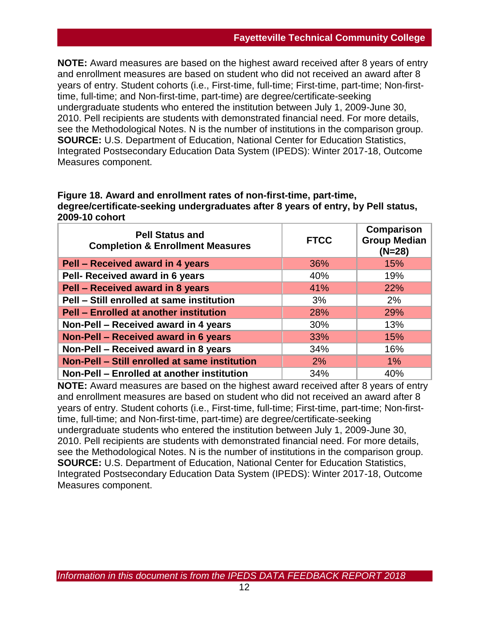**NOTE:** Award measures are based on the highest award received after 8 years of entry and enrollment measures are based on student who did not received an award after 8 years of entry. Student cohorts (i.e., First-time, full-time; First-time, part-time; Non-firsttime, full-time; and Non-first-time, part-time) are degree/certificate-seeking undergraduate students who entered the institution between July 1, 2009-June 30, 2010. Pell recipients are students with demonstrated financial need. For more details, see the Methodological Notes. N is the number of institutions in the comparison group. **SOURCE:** U.S. Department of Education, National Center for Education Statistics, Integrated Postsecondary Education Data System (IPEDS): Winter 2017-18, Outcome Measures component.

#### **Figure 18. Award and enrollment rates of non-first-time, part-time, degree/certificate-seeking undergraduates after 8 years of entry, by Pell status, 2009-10 cohort**

| <b>Pell Status and</b><br><b>Completion &amp; Enrollment Measures</b> | <b>FTCC</b> | Comparison<br><b>Group Median</b><br>$(N=28)$ |
|-----------------------------------------------------------------------|-------------|-----------------------------------------------|
| Pell - Received award in 4 years                                      | 36%         | 15%                                           |
| Pell- Received award in 6 years                                       | 40%         | 19%                                           |
| Pell - Received award in 8 years                                      | 41%         | 22%                                           |
| Pell - Still enrolled at same institution                             | 3%          | 2%                                            |
| <b>Pell - Enrolled at another institution</b>                         | 28%         | 29%                                           |
| Non-Pell - Received award in 4 years                                  | 30%         | 13%                                           |
| Non-Pell - Received award in 6 years                                  | 33%         | 15%                                           |
| Non-Pell - Received award in 8 years                                  | 34%         | 16%                                           |
| Non-Pell - Still enrolled at same institution                         | 2%          | $1\%$                                         |
| Non-Pell - Enrolled at another institution                            | 34%         | 40%                                           |

**NOTE:** Award measures are based on the highest award received after 8 years of entry and enrollment measures are based on student who did not received an award after 8 years of entry. Student cohorts (i.e., First-time, full-time; First-time, part-time; Non-firsttime, full-time; and Non-first-time, part-time) are degree/certificate-seeking undergraduate students who entered the institution between July 1, 2009-June 30, 2010. Pell recipients are students with demonstrated financial need. For more details, see the Methodological Notes. N is the number of institutions in the comparison group. **SOURCE:** U.S. Department of Education, National Center for Education Statistics, Integrated Postsecondary Education Data System (IPEDS): Winter 2017-18, Outcome Measures component.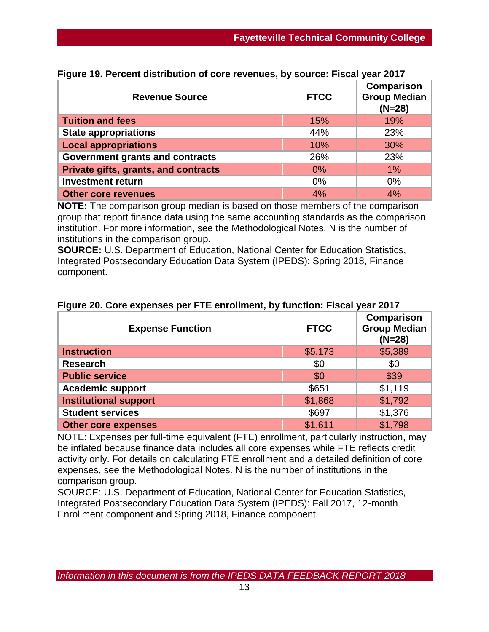| <b>Revenue Source</b>                | <b>FTCC</b> | Comparison<br><b>Group Median</b><br>$(N=28)$ |
|--------------------------------------|-------------|-----------------------------------------------|
| <b>Tuition and fees</b>              | 15%         | 19%                                           |
| <b>State appropriations</b>          | 44%         | 23%                                           |
| <b>Local appropriations</b>          | 10%         | 30%                                           |
| Government grants and contracts      | 26%         | 23%                                           |
| Private gifts, grants, and contracts | 0%          | $1\%$                                         |
| <b>Investment return</b>             | 0%          | $0\%$                                         |
| <b>Other core revenues</b>           | 4%          | 4%                                            |

|  | Figure 19. Percent distribution of core revenues, by source: Fiscal year 2017 |  |  |  |
|--|-------------------------------------------------------------------------------|--|--|--|

**NOTE:** The comparison group median is based on those members of the comparison group that report finance data using the same accounting standards as the comparison institution. For more information, see the Methodological Notes. N is the number of institutions in the comparison group.

**SOURCE:** U.S. Department of Education, National Center for Education Statistics, Integrated Postsecondary Education Data System (IPEDS): Spring 2018, Finance component.

| <b>Expense Function</b>      | <b>FTCC</b> | <b>Comparison</b><br><b>Group Median</b><br>$(N=28)$ |
|------------------------------|-------------|------------------------------------------------------|
| <b>Instruction</b>           | \$5,173     | \$5,389                                              |
| <b>Research</b>              | \$0         | \$0                                                  |
| <b>Public service</b>        | \$0         | \$39                                                 |
| <b>Academic support</b>      | \$651       | \$1,119                                              |
| <b>Institutional support</b> | \$1,868     | \$1,792                                              |
| <b>Student services</b>      | \$697       | \$1,376                                              |
| <b>Other core expenses</b>   | \$1,611     | \$1,798                                              |

## **Figure 20. Core expenses per FTE enrollment, by function: Fiscal year 2017**

NOTE: Expenses per full-time equivalent (FTE) enrollment, particularly instruction, may be inflated because finance data includes all core expenses while FTE reflects credit activity only. For details on calculating FTE enrollment and a detailed definition of core expenses, see the Methodological Notes. N is the number of institutions in the comparison group.

SOURCE: U.S. Department of Education, National Center for Education Statistics, Integrated Postsecondary Education Data System (IPEDS): Fall 2017, 12-month Enrollment component and Spring 2018, Finance component.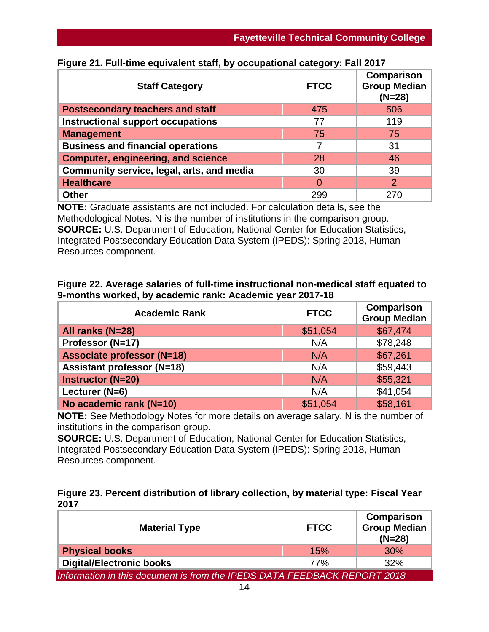| <b>Staff Category</b>                     | <b>FTCC</b>    | <b>Comparison</b><br><b>Group Median</b><br>$(N=28)$ |
|-------------------------------------------|----------------|------------------------------------------------------|
| <b>Postsecondary teachers and staff</b>   | 475            | 506                                                  |
| <b>Instructional support occupations</b>  | 77             | 119                                                  |
| <b>Management</b>                         | 75             | 75                                                   |
| <b>Business and financial operations</b>  |                | 31                                                   |
| <b>Computer, engineering, and science</b> | 28             | 46                                                   |
| Community service, legal, arts, and media | 30             | 39                                                   |
| <b>Healthcare</b>                         | $\overline{0}$ | 2                                                    |
| <b>Other</b>                              | 299            | 270                                                  |

## **Figure 21. Full-time equivalent staff, by occupational category: Fall 2017**

**NOTE:** Graduate assistants are not included. For calculation details, see the Methodological Notes. N is the number of institutions in the comparison group. **SOURCE:** U.S. Department of Education, National Center for Education Statistics, Integrated Postsecondary Education Data System (IPEDS): Spring 2018, Human Resources component.

#### **Figure 22. Average salaries of full-time instructional non-medical staff equated to 9-months worked, by academic rank: Academic year 2017-18**

| <b>Academic Rank</b>              | <b>FTCC</b> | <b>Comparison</b><br>Group Median |
|-----------------------------------|-------------|-----------------------------------|
| All ranks (N=28)                  | \$51,054    | \$67,474                          |
| Professor (N=17)                  | N/A         | \$78,248                          |
| <b>Associate professor (N=18)</b> | N/A         | \$67,261                          |
| <b>Assistant professor (N=18)</b> | N/A         | \$59,443                          |
| <b>Instructor (N=20)</b>          | N/A         | \$55,321                          |
| Lecturer (N=6)                    | N/A         | \$41,054                          |
| No academic rank (N=10)           | \$51,054    | \$58,161                          |

**NOTE:** See Methodology Notes for more details on average salary. N is the number of institutions in the comparison group.

**SOURCE:** U.S. Department of Education, National Center for Education Statistics, Integrated Postsecondary Education Data System (IPEDS): Spring 2018, Human Resources component.

## **Figure 23. Percent distribution of library collection, by material type: Fiscal Year 2017**

| <b>Material Type</b>                                                     | <b>FTCC</b> | Comparison<br><b>Group Median</b><br>$(N=28)$ |  |
|--------------------------------------------------------------------------|-------------|-----------------------------------------------|--|
| <b>Physical books</b>                                                    | 15%         | <b>30%</b>                                    |  |
| <b>Digital/Electronic books</b>                                          | 77%         | 32%                                           |  |
| Information in this document is from the IPEDS DATA FEEDBACK REPORT 2018 |             |                                               |  |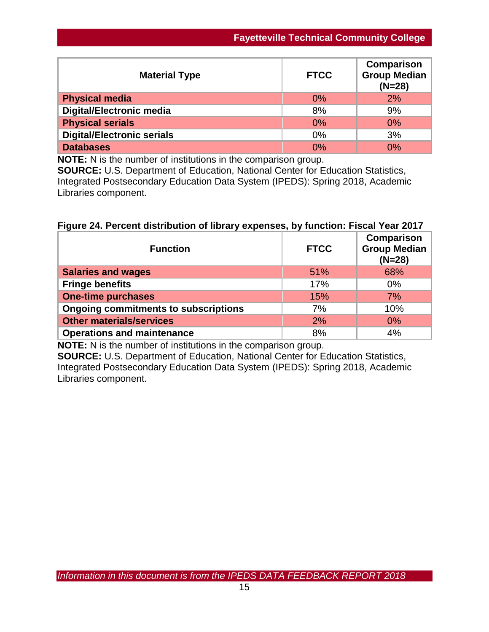| <b>Material Type</b>              | <b>FTCC</b> | Comparison<br><b>Group Median</b><br>$(N=28)$ |  |
|-----------------------------------|-------------|-----------------------------------------------|--|
| <b>Physical media</b>             | 0%          | 2%                                            |  |
| <b>Digital/Electronic media</b>   | 8%          | 9%                                            |  |
| <b>Physical serials</b>           | 0%          | 0%                                            |  |
| <b>Digital/Electronic serials</b> | 0%          | 3%                                            |  |
| <b>Databases</b>                  | 0%          | $0\%$                                         |  |

**NOTE:** N is the number of institutions in the comparison group.

**SOURCE:** U.S. Department of Education, National Center for Education Statistics, Integrated Postsecondary Education Data System (IPEDS): Spring 2018, Academic Libraries component.

## **Figure 24. Percent distribution of library expenses, by function: Fiscal Year 2017**

| <b>Function</b>                             | <b>FTCC</b> | Comparison<br><b>Group Median</b><br>$(N=28)$ |
|---------------------------------------------|-------------|-----------------------------------------------|
| <b>Salaries and wages</b>                   | 51%         | 68%                                           |
| <b>Fringe benefits</b>                      | 17%         | $0\%$                                         |
| <b>One-time purchases</b>                   | 15%         | 7%                                            |
| <b>Ongoing commitments to subscriptions</b> | 7%          | 10%                                           |
| <b>Other materials/services</b>             | 2%          | $0\%$                                         |
| <b>Operations and maintenance</b>           | 8%          | 4%                                            |

**NOTE:** N is the number of institutions in the comparison group.

**SOURCE:** U.S. Department of Education, National Center for Education Statistics, Integrated Postsecondary Education Data System (IPEDS): Spring 2018, Academic Libraries component.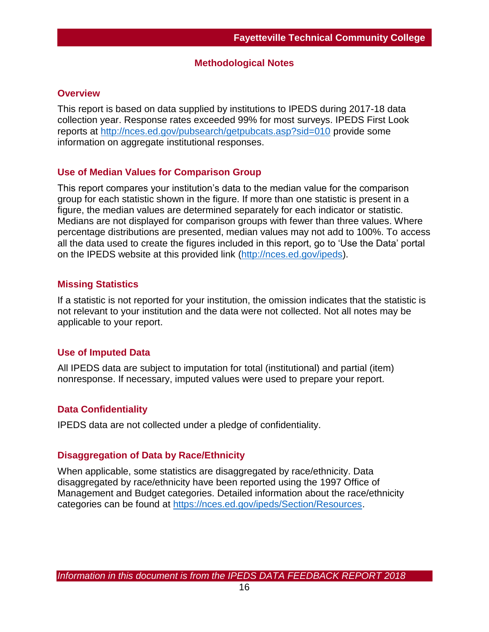#### **Methodological Notes**

#### **Overview**

This report is based on data supplied by institutions to IPEDS during 2017-18 data collection year. Response rates exceeded 99% for most surveys. IPEDS First Look reports at [http://nces.ed.gov/pubsearch/getpubcats.asp?sid=010](http://nces.ed.gov/pubsearch/getpubcats.asp?sid=010%20) provide some information on aggregate institutional responses.

#### **Use of Median Values for Comparison Group**

This report compares your institution's data to the median value for the comparison group for each statistic shown in the figure. If more than one statistic is present in a figure, the median values are determined separately for each indicator or statistic. Medians are not displayed for comparison groups with fewer than three values. Where percentage distributions are presented, median values may not add to 100%. To access all the data used to create the figures included in this report, go to 'Use the Data' portal on the IPEDS website at this provided link [\(http://nces.ed.gov/ipeds\)](http://nces.ed.gov/ipeds).

#### **Missing Statistics**

If a statistic is not reported for your institution, the omission indicates that the statistic is not relevant to your institution and the data were not collected. Not all notes may be applicable to your report.

## **Use of Imputed Data**

All IPEDS data are subject to imputation for total (institutional) and partial (item) nonresponse. If necessary, imputed values were used to prepare your report.

## **Data Confidentiality**

IPEDS data are not collected under a pledge of confidentiality.

#### **Disaggregation of Data by Race/Ethnicity**

When applicable, some statistics are disaggregated by race/ethnicity. Data disaggregated by race/ethnicity have been reported using the 1997 Office of Management and Budget categories. Detailed information about the race/ethnicity categories can be found at [https://nces.ed.gov/ipeds/Section/Resources.](https://nces.ed.gov/ipeds/Section/Resources)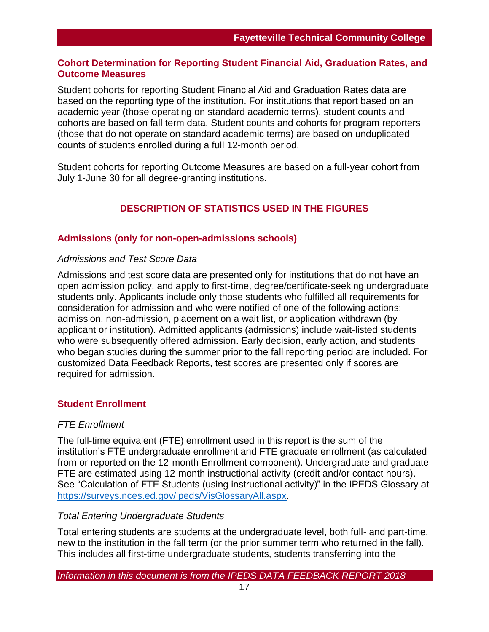#### **Cohort Determination for Reporting Student Financial Aid, Graduation Rates, and Outcome Measures**

Student cohorts for reporting Student Financial Aid and Graduation Rates data are based on the reporting type of the institution. For institutions that report based on an academic year (those operating on standard academic terms), student counts and cohorts are based on fall term data. Student counts and cohorts for program reporters (those that do not operate on standard academic terms) are based on unduplicated counts of students enrolled during a full 12-month period.

Student cohorts for reporting Outcome Measures are based on a full-year cohort from July 1-June 30 for all degree-granting institutions.

## **DESCRIPTION OF STATISTICS USED IN THE FIGURES**

#### **Admissions (only for non-open-admissions schools)**

#### *Admissions and Test Score Data*

Admissions and test score data are presented only for institutions that do not have an open admission policy, and apply to first-time, degree/certificate-seeking undergraduate students only. Applicants include only those students who fulfilled all requirements for consideration for admission and who were notified of one of the following actions: admission, non-admission, placement on a wait list, or application withdrawn (by applicant or institution). Admitted applicants (admissions) include wait-listed students who were subsequently offered admission. Early decision, early action, and students who began studies during the summer prior to the fall reporting period are included. For customized Data Feedback Reports, test scores are presented only if scores are required for admission.

#### **Student Enrollment**

#### *FTE Enrollment*

The full-time equivalent (FTE) enrollment used in this report is the sum of the institution's FTE undergraduate enrollment and FTE graduate enrollment (as calculated from or reported on the 12-month Enrollment component). Undergraduate and graduate FTE are estimated using 12-month instructional activity (credit and/or contact hours). See "Calculation of FTE Students (using instructional activity)" in the IPEDS Glossary at [https://surveys.nces.ed.gov/ipeds/VisGlossaryAll.aspx.](https://surveys.nces.ed.gov/ipeds/VisGlossaryAll.aspx)

#### *Total Entering Undergraduate Students*

Total entering students are students at the undergraduate level, both full- and part-time, new to the institution in the fall term (or the prior summer term who returned in the fall). This includes all first-time undergraduate students, students transferring into the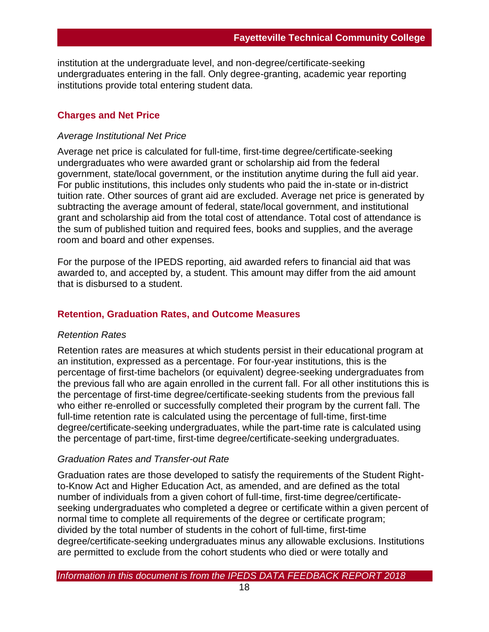institution at the undergraduate level, and non-degree/certificate-seeking undergraduates entering in the fall. Only degree-granting, academic year reporting institutions provide total entering student data.

#### **Charges and Net Price**

#### *Average Institutional Net Price*

Average net price is calculated for full-time, first-time degree/certificate-seeking undergraduates who were awarded grant or scholarship aid from the federal government, state/local government, or the institution anytime during the full aid year. For public institutions, this includes only students who paid the in-state or in-district tuition rate. Other sources of grant aid are excluded. Average net price is generated by subtracting the average amount of federal, state/local government, and institutional grant and scholarship aid from the total cost of attendance. Total cost of attendance is the sum of published tuition and required fees, books and supplies, and the average room and board and other expenses.

For the purpose of the IPEDS reporting, aid awarded refers to financial aid that was awarded to, and accepted by, a student. This amount may differ from the aid amount that is disbursed to a student.

#### **Retention, Graduation Rates, and Outcome Measures**

#### *Retention Rates*

Retention rates are measures at which students persist in their educational program at an institution, expressed as a percentage. For four-year institutions, this is the percentage of first-time bachelors (or equivalent) degree-seeking undergraduates from the previous fall who are again enrolled in the current fall. For all other institutions this is the percentage of first-time degree/certificate-seeking students from the previous fall who either re-enrolled or successfully completed their program by the current fall. The full-time retention rate is calculated using the percentage of full-time, first-time degree/certificate-seeking undergraduates, while the part-time rate is calculated using the percentage of part-time, first-time degree/certificate-seeking undergraduates.

#### *Graduation Rates and Transfer-out Rate*

Graduation rates are those developed to satisfy the requirements of the Student Rightto-Know Act and Higher Education Act, as amended, and are defined as the total number of individuals from a given cohort of full-time, first-time degree/certificateseeking undergraduates who completed a degree or certificate within a given percent of normal time to complete all requirements of the degree or certificate program; divided by the total number of students in the cohort of full-time, first-time degree/certificate-seeking undergraduates minus any allowable exclusions. Institutions are permitted to exclude from the cohort students who died or were totally and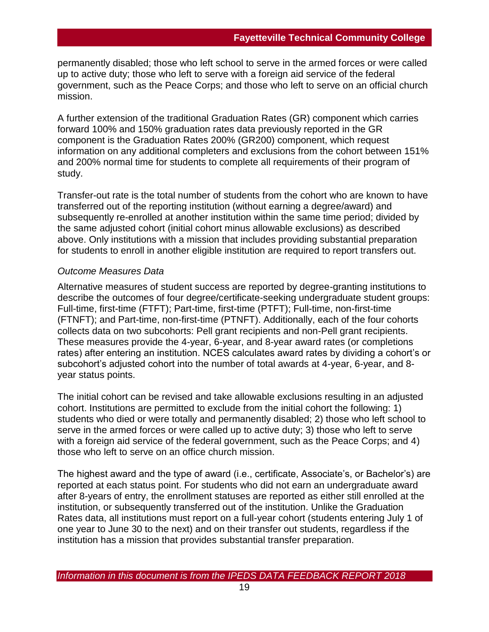permanently disabled; those who left school to serve in the armed forces or were called up to active duty; those who left to serve with a foreign aid service of the federal government, such as the Peace Corps; and those who left to serve on an official church mission.

A further extension of the traditional Graduation Rates (GR) component which carries forward 100% and 150% graduation rates data previously reported in the GR component is the Graduation Rates 200% (GR200) component, which request information on any additional completers and exclusions from the cohort between 151% and 200% normal time for students to complete all requirements of their program of study.

Transfer-out rate is the total number of students from the cohort who are known to have transferred out of the reporting institution (without earning a degree/award) and subsequently re-enrolled at another institution within the same time period; divided by the same adjusted cohort (initial cohort minus allowable exclusions) as described above. Only institutions with a mission that includes providing substantial preparation for students to enroll in another eligible institution are required to report transfers out.

#### *Outcome Measures Data*

Alternative measures of student success are reported by degree-granting institutions to describe the outcomes of four degree/certificate-seeking undergraduate student groups: Full-time, first-time (FTFT); Part-time, first-time (PTFT); Full-time, non-first-time (FTNFT); and Part-time, non-first-time (PTNFT). Additionally, each of the four cohorts collects data on two subcohorts: Pell grant recipients and non-Pell grant recipients. These measures provide the 4-year, 6-year, and 8-year award rates (or completions rates) after entering an institution. NCES calculates award rates by dividing a cohort's or subcohort's adjusted cohort into the number of total awards at 4-year, 6-year, and 8 year status points.

The initial cohort can be revised and take allowable exclusions resulting in an adjusted cohort. Institutions are permitted to exclude from the initial cohort the following: 1) students who died or were totally and permanently disabled; 2) those who left school to serve in the armed forces or were called up to active duty; 3) those who left to serve with a foreign aid service of the federal government, such as the Peace Corps; and 4) those who left to serve on an office church mission.

The highest award and the type of award (i.e., certificate, Associate's, or Bachelor's) are reported at each status point. For students who did not earn an undergraduate award after 8-years of entry, the enrollment statuses are reported as either still enrolled at the institution, or subsequently transferred out of the institution. Unlike the Graduation Rates data, all institutions must report on a full-year cohort (students entering July 1 of one year to June 30 to the next) and on their transfer out students, regardless if the institution has a mission that provides substantial transfer preparation.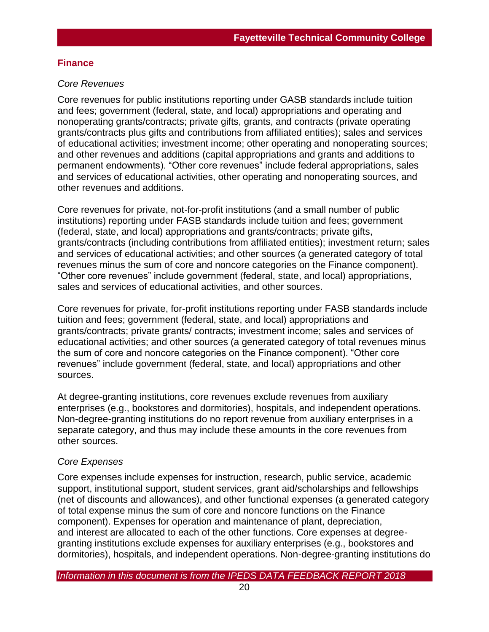## **Finance**

#### *Core Revenues*

Core revenues for public institutions reporting under GASB standards include tuition and fees; government (federal, state, and local) appropriations and operating and nonoperating grants/contracts; private gifts, grants, and contracts (private operating grants/contracts plus gifts and contributions from affiliated entities); sales and services of educational activities; investment income; other operating and nonoperating sources; and other revenues and additions (capital appropriations and grants and additions to permanent endowments). "Other core revenues" include federal appropriations, sales and services of educational activities, other operating and nonoperating sources, and other revenues and additions.

Core revenues for private, not-for-profit institutions (and a small number of public institutions) reporting under FASB standards include tuition and fees; government (federal, state, and local) appropriations and grants/contracts; private gifts, grants/contracts (including contributions from affiliated entities); investment return; sales and services of educational activities; and other sources (a generated category of total revenues minus the sum of core and noncore categories on the Finance component). "Other core revenues" include government (federal, state, and local) appropriations, sales and services of educational activities, and other sources.

Core revenues for private, for-profit institutions reporting under FASB standards include tuition and fees; government (federal, state, and local) appropriations and grants/contracts; private grants/ contracts; investment income; sales and services of educational activities; and other sources (a generated category of total revenues minus the sum of core and noncore categories on the Finance component). "Other core revenues" include government (federal, state, and local) appropriations and other sources.

At degree-granting institutions, core revenues exclude revenues from auxiliary enterprises (e.g., bookstores and dormitories), hospitals, and independent operations. Non-degree-granting institutions do no report revenue from auxiliary enterprises in a separate category, and thus may include these amounts in the core revenues from other sources.

## *Core Expenses*

Core expenses include expenses for instruction, research, public service, academic support, institutional support, student services, grant aid/scholarships and fellowships (net of discounts and allowances), and other functional expenses (a generated category of total expense minus the sum of core and noncore functions on the Finance component). Expenses for operation and maintenance of plant, depreciation, and interest are allocated to each of the other functions. Core expenses at degreegranting institutions exclude expenses for auxiliary enterprises (e.g., bookstores and dormitories), hospitals, and independent operations. Non-degree-granting institutions do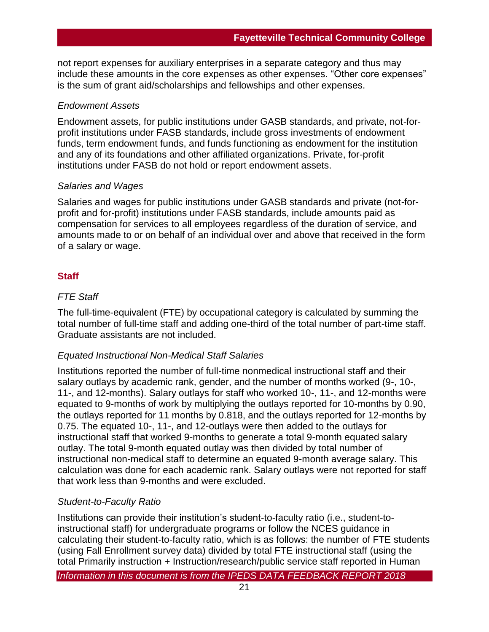not report expenses for auxiliary enterprises in a separate category and thus may include these amounts in the core expenses as other expenses. "Other core expenses" is the sum of grant aid/scholarships and fellowships and other expenses.

#### *Endowment Assets*

Endowment assets, for public institutions under GASB standards, and private, not-forprofit institutions under FASB standards, include gross investments of endowment funds, term endowment funds, and funds functioning as endowment for the institution and any of its foundations and other affiliated organizations. Private, for-profit institutions under FASB do not hold or report endowment assets.

## *Salaries and Wages*

Salaries and wages for public institutions under GASB standards and private (not-forprofit and for-profit) institutions under FASB standards, include amounts paid as compensation for services to all employees regardless of the duration of service, and amounts made to or on behalf of an individual over and above that received in the form of a salary or wage.

## **Staff**

## *FTE Staff*

The full-time-equivalent (FTE) by occupational category is calculated by summing the total number of full-time staff and adding one-third of the total number of part-time staff. Graduate assistants are not included.

## *Equated Instructional Non-Medical Staff Salaries*

Institutions reported the number of full-time nonmedical instructional staff and their salary outlays by academic rank, gender, and the number of months worked (9-, 10-, 11-, and 12-months). Salary outlays for staff who worked 10-, 11-, and 12-months were equated to 9-months of work by multiplying the outlays reported for 10-months by 0.90, the outlays reported for 11 months by 0.818, and the outlays reported for 12-months by 0.75. The equated 10-, 11-, and 12-outlays were then added to the outlays for instructional staff that worked 9-months to generate a total 9-month equated salary outlay. The total 9-month equated outlay was then divided by total number of instructional non-medical staff to determine an equated 9-month average salary. This calculation was done for each academic rank. Salary outlays were not reported for staff that work less than 9-months and were excluded.

## *Student-to-Faculty Ratio*

Institutions can provide their institution's student-to-faculty ratio (i.e., student-toinstructional staff) for undergraduate programs or follow the NCES guidance in calculating their student-to-faculty ratio, which is as follows: the number of FTE students (using Fall Enrollment survey data) divided by total FTE instructional staff (using the total Primarily instruction + Instruction/research/public service staff reported in Human